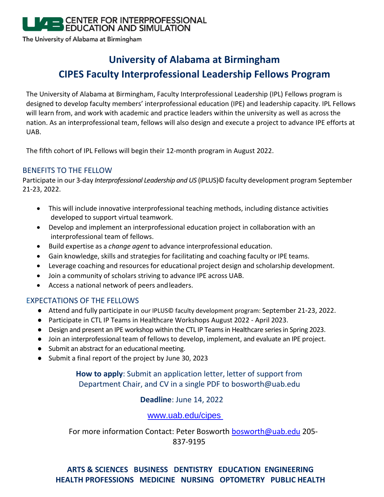## CENTER FOR INTERPROFESSIONAL **EDUCATION AND SIMULATION**

The University of Alabama at Birmingham

# **University of Alabama at Birmingham CIPES Faculty Interprofessional Leadership Fellows Program**

The University of Alabama at Birmingham, Faculty Interprofessional Leadership (IPL) Fellows program is designed to develop faculty members' interprofessional education (IPE) and leadership capacity. IPL Fellows will learn from, and work with academic and practice leaders within the university as well as across the nation. As an interprofessional team, fellows will also design and execute a project to advance IPE efforts at UAB.

The fifth cohort of IPL Fellows will begin their 12-month program in August 2022.

## BENEFITS TO THE FELLOW

Participate in our 3-day *Interprofessional Leadership and US* (IPLUS)© faculty development program September 21-23, 2022.

- This will include innovative interprofessional teaching methods, including distance activities developed to support virtual teamwork.
- Develop and implement an interprofessional education project in collaboration with an interprofessional team of fellows.
- Build expertise as a *change agent* to advance interprofessional education.
- Gain knowledge, skills and strategies for facilitating and coaching faculty or IPE teams.
- Leverage coaching and resources for educational project design and scholarship development.
- Join a community of scholars striving to advance IPE across UAB.
- Access a national network of peers andleaders.

#### EXPECTATIONS OF THE FELLOWS

- Attend and fully participate in our IPLUS© faculty development program: September 21-23, 2022.
- Participate in CTL IP Teams in Healthcare Workshops August 2022 April 2023.
- Design and present an IPE workshop within the CTL IP Teams in Healthcare series in Spring 2023.
- Join an interprofessional team of fellows to develop, implement, and evaluate an IPE project.
- Submit an abstract for an educational meeting.
- Submit a final report of the project by June 30, 2023

## **How to apply**: Submit an application letter, letter of support from Department Chair, and CV in a single PDF to bosworth@uab.edu

## **Deadline**: June 14, 2022

#### [www.uab.edu/cipes](http://www.uab.edu/cipes)

For more information Contact: Peter Bosworth [bosworth@uab.edu](mailto:bosworth@uab.edu) 205-837-9195

## **ARTS & SCIENCES BUSINESS DENTISTRY EDUCATION ENGINEERING HEALTH PROFESSIONS MEDICINE NURSING OPTOMETRY PUBLIC HEALTH**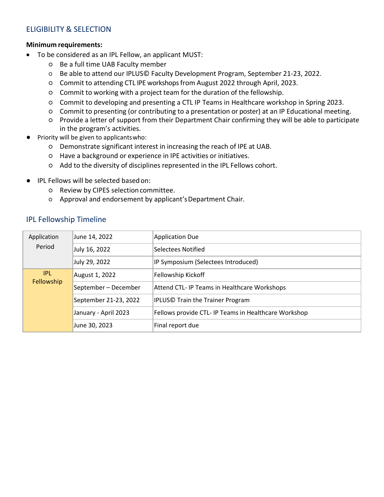### ELIGIBILITY & SELECTION

#### **Minimum requirements:**

- To be considered as an IPL Fellow, an applicant MUST:
	- Be a full time UAB Faculty member
	- Be able to attend our IPLUS© Faculty Development Program, September 21-23, 2022.
	- Commit to attending CTL IPE workshops from August 2022 through April, 2023.
	- Commit to working with a project team for the duration of the fellowship.
	- Commit to developing and presenting a CTL IP Teams in Healthcare workshop in Spring 2023.
	- Commit to presenting (or contributing to a presentation or poster) at an IP Educational meeting.
	- Provide a letter of support from their Department Chair confirming they will be able to participate in the program's activities.
- **●** Priority will be given to applicantswho:
	- Demonstrate significant interest in increasing the reach of IPE at UAB.
	- Have a background or experience in IPE activities or initiatives.
	- Add to the diversity of disciplines represented in the IPL Fellows cohort.
- **●** IPL Fellows will be selected basedon:
	- Review by CIPES selectioncommittee.
	- Approval and endorsement by applicant'sDepartment Chair.

#### IPL Fellowship Timeline

| Application<br>Period | June 14, 2022         | Application Due                                      |
|-----------------------|-----------------------|------------------------------------------------------|
|                       | July 16, 2022         | Selectees Notified                                   |
|                       | July 29, 2022         | IP Symposium (Selectees Introduced)                  |
| IPL.<br>Fellowship    | August 1, 2022        | Fellowship Kickoff                                   |
|                       | September - December  | Attend CTL- IP Teams in Healthcare Workshops         |
|                       | September 21-23, 2022 | <b>IPLUS© Train the Trainer Program</b>              |
|                       | January - April 2023  | Fellows provide CTL- IP Teams in Healthcare Workshop |
|                       | June 30, 2023         | Final report due                                     |